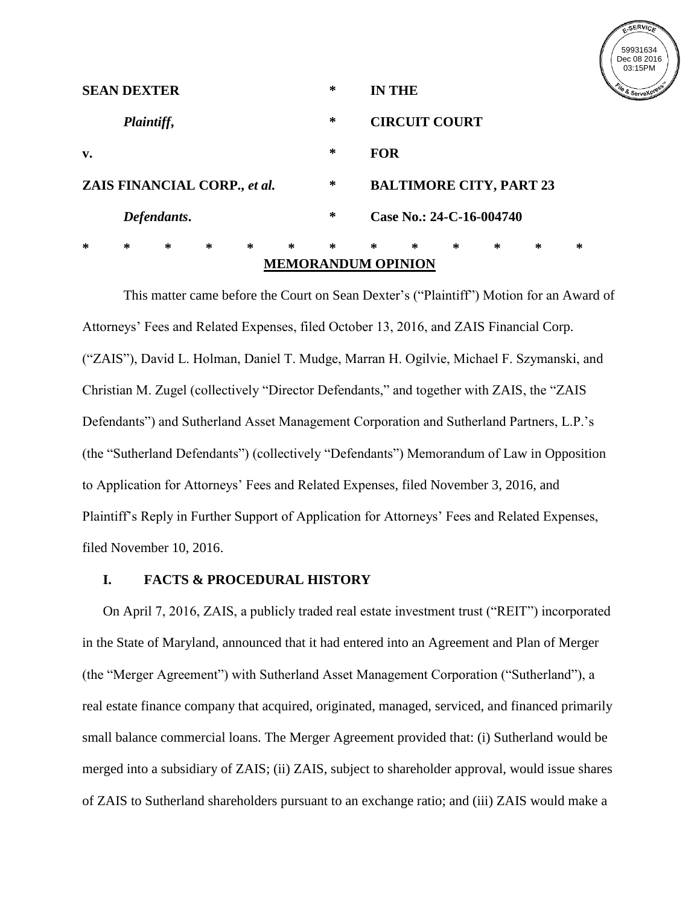

|                                   | <b>SEAN DEXTER</b> |   |   |        |        | ∗ |                          | <b>IN THE</b>                  |   |   |   |   |
|-----------------------------------|--------------------|---|---|--------|--------|---|--------------------------|--------------------------------|---|---|---|---|
| Plaintiff,                        |                    |   |   |        |        | ∗ | <b>CIRCUIT COURT</b>     |                                |   |   |   |   |
| v.                                |                    |   |   |        |        | ∗ | <b>FOR</b>               |                                |   |   |   |   |
| ∗<br>ZAIS FINANCIAL CORP., et al. |                    |   |   |        |        |   |                          | <b>BALTIMORE CITY, PART 23</b> |   |   |   |   |
| Defendants.                       |                    |   |   |        |        | ∗ | Case No.: 24-C-16-004740 |                                |   |   |   |   |
| ∗                                 | ∗                  | ∗ | ∗ | $\ast$ | $\ast$ | ∗ | ∗                        | ∗                              | ∗ | ∗ | ∗ | ∗ |
| <b>MEMORANDUM OPINION</b>         |                    |   |   |        |        |   |                          |                                |   |   |   |   |

This matter came before the Court on Sean Dexter's ("Plaintiff") Motion for an Award of Attorneys' Fees and Related Expenses, filed October 13, 2016, and ZAIS Financial Corp. ("ZAIS"), David L. Holman, Daniel T. Mudge, Marran H. Ogilvie, Michael F. Szymanski, and Christian M. Zugel (collectively "Director Defendants," and together with ZAIS, the "ZAIS Defendants") and Sutherland Asset Management Corporation and Sutherland Partners, L.P.'s (the "Sutherland Defendants") (collectively "Defendants") Memorandum of Law in Opposition to Application for Attorneys' Fees and Related Expenses, filed November 3, 2016, and Plaintiff's Reply in Further Support of Application for Attorneys' Fees and Related Expenses, filed November 10, 2016.

# **I. FACTS & PROCEDURAL HISTORY**

On April 7, 2016, ZAIS, a publicly traded real estate investment trust ("REIT") incorporated in the State of Maryland, announced that it had entered into an Agreement and Plan of Merger (the "Merger Agreement") with Sutherland Asset Management Corporation ("Sutherland"), a real estate finance company that acquired, originated, managed, serviced, and financed primarily small balance commercial loans. The Merger Agreement provided that: (i) Sutherland would be merged into a subsidiary of ZAIS; (ii) ZAIS, subject to shareholder approval, would issue shares of ZAIS to Sutherland shareholders pursuant to an exchange ratio; and (iii) ZAIS would make a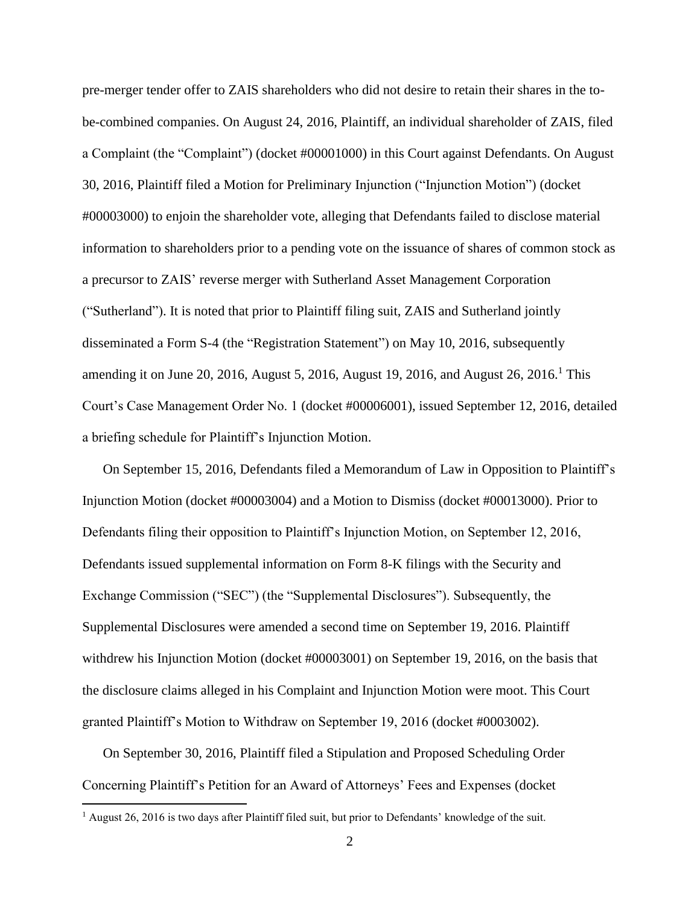pre-merger tender offer to ZAIS shareholders who did not desire to retain their shares in the tobe-combined companies. On August 24, 2016, Plaintiff, an individual shareholder of ZAIS, filed a Complaint (the "Complaint") (docket #00001000) in this Court against Defendants. On August 30, 2016, Plaintiff filed a Motion for Preliminary Injunction ("Injunction Motion") (docket #00003000) to enjoin the shareholder vote, alleging that Defendants failed to disclose material information to shareholders prior to a pending vote on the issuance of shares of common stock as a precursor to ZAIS' reverse merger with Sutherland Asset Management Corporation ("Sutherland"). It is noted that prior to Plaintiff filing suit, ZAIS and Sutherland jointly disseminated a Form S-4 (the "Registration Statement") on May 10, 2016, subsequently amending it on June 20, 2016, August 5, 2016, August 19, 2016, and August 26, 2016.<sup>1</sup> This Court's Case Management Order No. 1 (docket #00006001), issued September 12, 2016, detailed a briefing schedule for Plaintiff's Injunction Motion.

On September 15, 2016, Defendants filed a Memorandum of Law in Opposition to Plaintiff's Injunction Motion (docket #00003004) and a Motion to Dismiss (docket #00013000). Prior to Defendants filing their opposition to Plaintiff's Injunction Motion, on September 12, 2016, Defendants issued supplemental information on Form 8-K filings with the Security and Exchange Commission ("SEC") (the "Supplemental Disclosures"). Subsequently, the Supplemental Disclosures were amended a second time on September 19, 2016. Plaintiff withdrew his Injunction Motion (docket #00003001) on September 19, 2016, on the basis that the disclosure claims alleged in his Complaint and Injunction Motion were moot. This Court granted Plaintiff's Motion to Withdraw on September 19, 2016 (docket #0003002).

On September 30, 2016, Plaintiff filed a Stipulation and Proposed Scheduling Order Concerning Plaintiff's Petition for an Award of Attorneys' Fees and Expenses (docket

 $\overline{a}$ 

<sup>&</sup>lt;sup>1</sup> August 26, 2016 is two days after Plaintiff filed suit, but prior to Defendants' knowledge of the suit.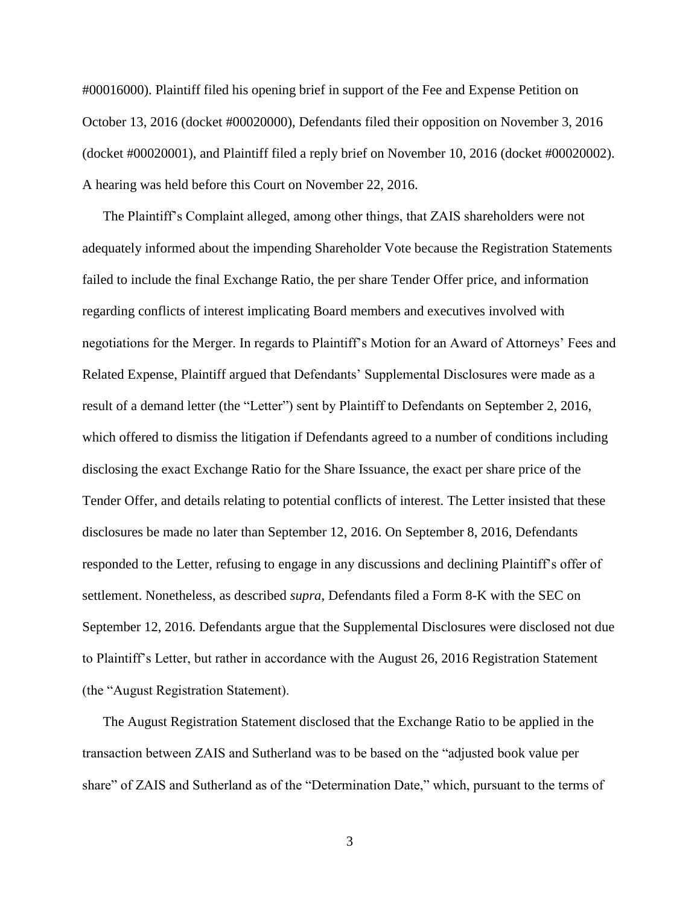#00016000). Plaintiff filed his opening brief in support of the Fee and Expense Petition on October 13, 2016 (docket #00020000), Defendants filed their opposition on November 3, 2016 (docket #00020001), and Plaintiff filed a reply brief on November 10, 2016 (docket #00020002). A hearing was held before this Court on November 22, 2016.

The Plaintiff's Complaint alleged, among other things, that ZAIS shareholders were not adequately informed about the impending Shareholder Vote because the Registration Statements failed to include the final Exchange Ratio, the per share Tender Offer price, and information regarding conflicts of interest implicating Board members and executives involved with negotiations for the Merger. In regards to Plaintiff's Motion for an Award of Attorneys' Fees and Related Expense, Plaintiff argued that Defendants' Supplemental Disclosures were made as a result of a demand letter (the "Letter") sent by Plaintiff to Defendants on September 2, 2016, which offered to dismiss the litigation if Defendants agreed to a number of conditions including disclosing the exact Exchange Ratio for the Share Issuance, the exact per share price of the Tender Offer, and details relating to potential conflicts of interest. The Letter insisted that these disclosures be made no later than September 12, 2016. On September 8, 2016, Defendants responded to the Letter, refusing to engage in any discussions and declining Plaintiff's offer of settlement. Nonetheless, as described *supra*, Defendants filed a Form 8-K with the SEC on September 12, 2016. Defendants argue that the Supplemental Disclosures were disclosed not due to Plaintiff's Letter, but rather in accordance with the August 26, 2016 Registration Statement (the "August Registration Statement).

The August Registration Statement disclosed that the Exchange Ratio to be applied in the transaction between ZAIS and Sutherland was to be based on the "adjusted book value per share" of ZAIS and Sutherland as of the "Determination Date," which, pursuant to the terms of

3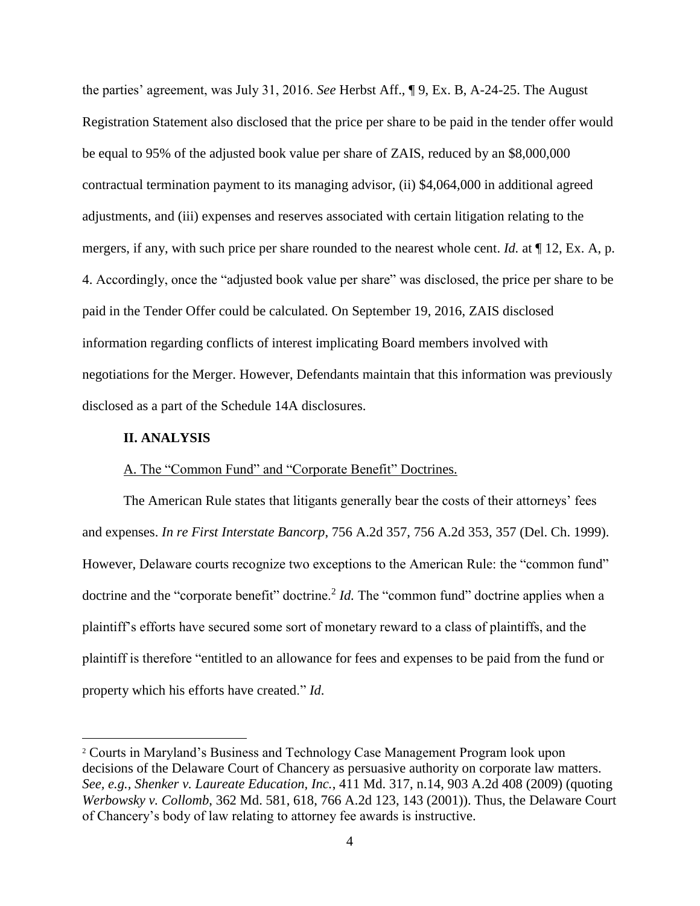the parties' agreement, was July 31, 2016. *See* Herbst Aff., ¶ 9, Ex. B, A-24-25. The August Registration Statement also disclosed that the price per share to be paid in the tender offer would be equal to 95% of the adjusted book value per share of ZAIS, reduced by an \$8,000,000 contractual termination payment to its managing advisor, (ii) \$4,064,000 in additional agreed adjustments, and (iii) expenses and reserves associated with certain litigation relating to the mergers, if any, with such price per share rounded to the nearest whole cent. *Id.* at ¶ 12, Ex. A, p. 4. Accordingly, once the "adjusted book value per share" was disclosed, the price per share to be paid in the Tender Offer could be calculated. On September 19, 2016, ZAIS disclosed information regarding conflicts of interest implicating Board members involved with negotiations for the Merger. However, Defendants maintain that this information was previously disclosed as a part of the Schedule 14A disclosures.

## **II. ANALYSIS**

 $\overline{a}$ 

## A. The "Common Fund" and "Corporate Benefit" Doctrines.

The American Rule states that litigants generally bear the costs of their attorneys' fees and expenses. *In re First Interstate Bancorp*, 756 A.2d 357, 756 A.2d 353, 357 (Del. Ch. 1999). However, Delaware courts recognize two exceptions to the American Rule: the "common fund" doctrine and the "corporate benefit" doctrine.<sup>2</sup> *Id*. The "common fund" doctrine applies when a plaintiff's efforts have secured some sort of monetary reward to a class of plaintiffs, and the plaintiff is therefore "entitled to an allowance for fees and expenses to be paid from the fund or property which his efforts have created." *Id*.

<sup>2</sup> Courts in Maryland's Business and Technology Case Management Program look upon decisions of the Delaware Court of Chancery as persuasive authority on corporate law matters. *See, e.g., Shenker v. Laureate Education, Inc.*, 411 Md. 317, n.14, 903 A.2d 408 (2009) (quoting *Werbowsky v. Collomb*, 362 Md. 581, 618, 766 A.2d 123, 143 (2001)). Thus, the Delaware Court of Chancery's body of law relating to attorney fee awards is instructive.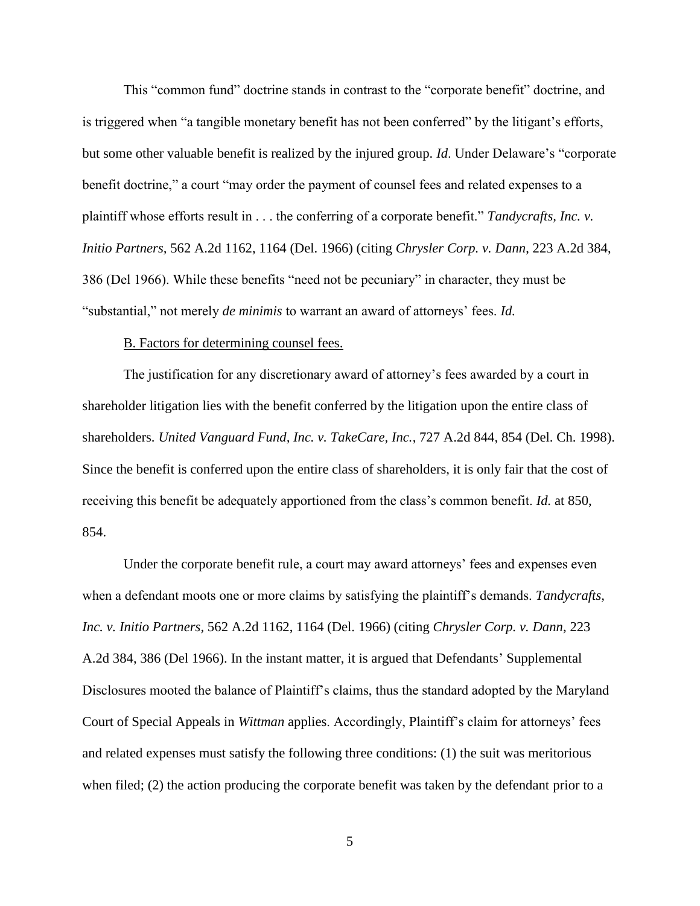This "common fund" doctrine stands in contrast to the "corporate benefit" doctrine, and is triggered when "a tangible monetary benefit has not been conferred" by the litigant's efforts, but some other valuable benefit is realized by the injured group. *Id*. Under Delaware's "corporate benefit doctrine," a court "may order the payment of counsel fees and related expenses to a plaintiff whose efforts result in . . . the conferring of a corporate benefit." *Tandycrafts, Inc. v. Initio Partners,* 562 A.2d 1162, 1164 (Del. 1966) (citing *Chrysler Corp. v. Dann*, 223 A.2d 384, 386 (Del 1966). While these benefits "need not be pecuniary" in character, they must be "substantial," not merely *de minimis* to warrant an award of attorneys' fees. *Id.* 

### B. Factors for determining counsel fees.

The justification for any discretionary award of attorney's fees awarded by a court in shareholder litigation lies with the benefit conferred by the litigation upon the entire class of shareholders. *United Vanguard Fund, Inc. v. TakeCare, Inc.*, 727 A.2d 844, 854 (Del. Ch. 1998). Since the benefit is conferred upon the entire class of shareholders, it is only fair that the cost of receiving this benefit be adequately apportioned from the class's common benefit. *Id.* at 850, 854.

Under the corporate benefit rule, a court may award attorneys' fees and expenses even when a defendant moots one or more claims by satisfying the plaintiff's demands. *Tandycrafts, Inc. v. Initio Partners,* 562 A.2d 1162, 1164 (Del. 1966) (citing *Chrysler Corp. v. Dann*, 223 A.2d 384, 386 (Del 1966). In the instant matter, it is argued that Defendants' Supplemental Disclosures mooted the balance of Plaintiff's claims, thus the standard adopted by the Maryland Court of Special Appeals in *Wittman* applies. Accordingly, Plaintiff's claim for attorneys' fees and related expenses must satisfy the following three conditions: (1) the suit was meritorious when filed; (2) the action producing the corporate benefit was taken by the defendant prior to a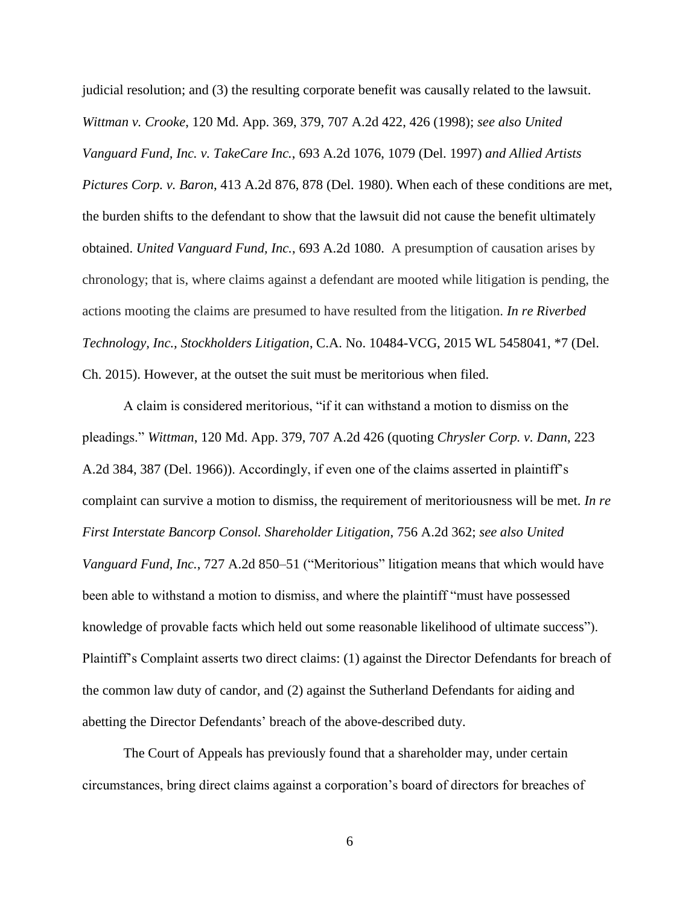judicial resolution; and (3) the resulting corporate benefit was causally related to the lawsuit. *Wittman v. Crooke*, 120 Md. App. 369, 379, 707 A.2d 422, 426 (1998); *see also United Vanguard Fund, Inc. v. TakeCare Inc.*, 693 A.2d 1076, 1079 (Del. 1997) *and Allied Artists Pictures Corp. v. Baron*, 413 A.2d 876, 878 (Del. 1980). When each of these conditions are met, the burden shifts to the defendant to show that the lawsuit did not cause the benefit ultimately obtained. *United Vanguard Fund, Inc.*, 693 A.2d 1080. A presumption of causation arises by chronology; that is, where claims against a defendant are mooted while litigation is pending, the actions mooting the claims are presumed to have resulted from the litigation. *In re Riverbed Technology, Inc., Stockholders Litigation*, C.A. No. 10484-VCG, 2015 WL 5458041, \*7 (Del. Ch. 2015). However, at the outset the suit must be meritorious when filed.

A claim is considered meritorious, "if it can withstand a motion to dismiss on the pleadings." *Wittman*, 120 Md. App. 379, 707 A.2d 426 (quoting *Chrysler Corp. v. Dann*, 223 A.2d 384, 387 (Del. 1966)). Accordingly, if even one of the claims asserted in plaintiff's complaint can survive a motion to dismiss, the requirement of meritoriousness will be met. *In re First Interstate Bancorp Consol. Shareholder Litigation*, 756 A.2d 362; *see also United Vanguard Fund, Inc.*, 727 A.2d 850–51 ("Meritorious" litigation means that which would have been able to withstand a motion to dismiss, and where the plaintiff "must have possessed knowledge of provable facts which held out some reasonable likelihood of ultimate success"). Plaintiff's Complaint asserts two direct claims: (1) against the Director Defendants for breach of the common law duty of candor, and (2) against the Sutherland Defendants for aiding and abetting the Director Defendants' breach of the above-described duty.

The Court of Appeals has previously found that a shareholder may, under certain circumstances, bring direct claims against a corporation's board of directors for breaches of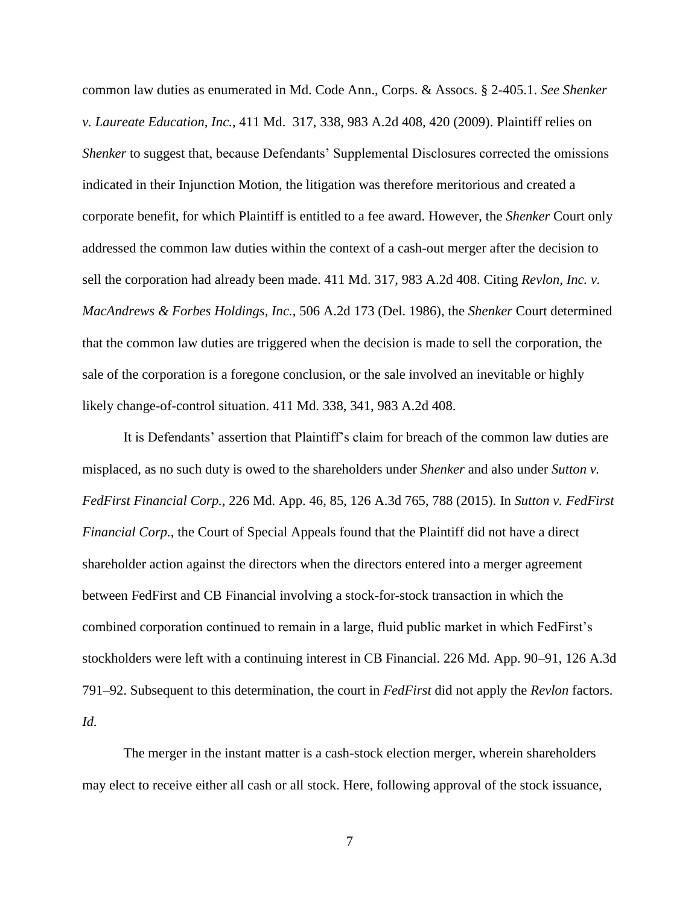common law duties as enumerated in Md. Code Ann., Corps. & Assocs. § 2-405.1. *See Shenker v. Laureate Education, Inc.*, 411 Md. 317, 338, 983 A.2d 408, 420 (2009). Plaintiff relies on *Shenker* to suggest that, because Defendants' Supplemental Disclosures corrected the omissions indicated in their Injunction Motion, the litigation was therefore meritorious and created a corporate benefit, for which Plaintiff is entitled to a fee award. However, the *Shenker* Court only addressed the common law duties within the context of a cash-out merger after the decision to sell the corporation had already been made. 411 Md. 317, 983 A.2d 408. Citing *Revlon, Inc. v. MacAndrews & Forbes Holdings, Inc.*, 506 A.2d 173 (Del. 1986), the *Shenker* Court determined that the common law duties are triggered when the decision is made to sell the corporation, the sale of the corporation is a foregone conclusion, or the sale involved an inevitable or highly likely change-of-control situation. 411 Md. 338, 341, 983 A.2d 408.

It is Defendants' assertion that Plaintiff's claim for breach of the common law duties are misplaced, as no such duty is owed to the shareholders under *Shenker* and also under *Sutton v. FedFirst Financial Corp.*, 226 Md. App. 46, 85, 126 A.3d 765, 788 (2015). In *Sutton v. FedFirst Financial Corp.*, the Court of Special Appeals found that the Plaintiff did not have a direct shareholder action against the directors when the directors entered into a merger agreement between FedFirst and CB Financial involving a stock-for-stock transaction in which the combined corporation continued to remain in a large, fluid public market in which FedFirst's stockholders were left with a continuing interest in CB Financial. 226 Md. App. 90–91, 126 A.3d 791–92. Subsequent to this determination, the court in *FedFirst* did not apply the *Revlon* factors. *Id.*

The merger in the instant matter is a cash-stock election merger, wherein shareholders may elect to receive either all cash or all stock. Here, following approval of the stock issuance,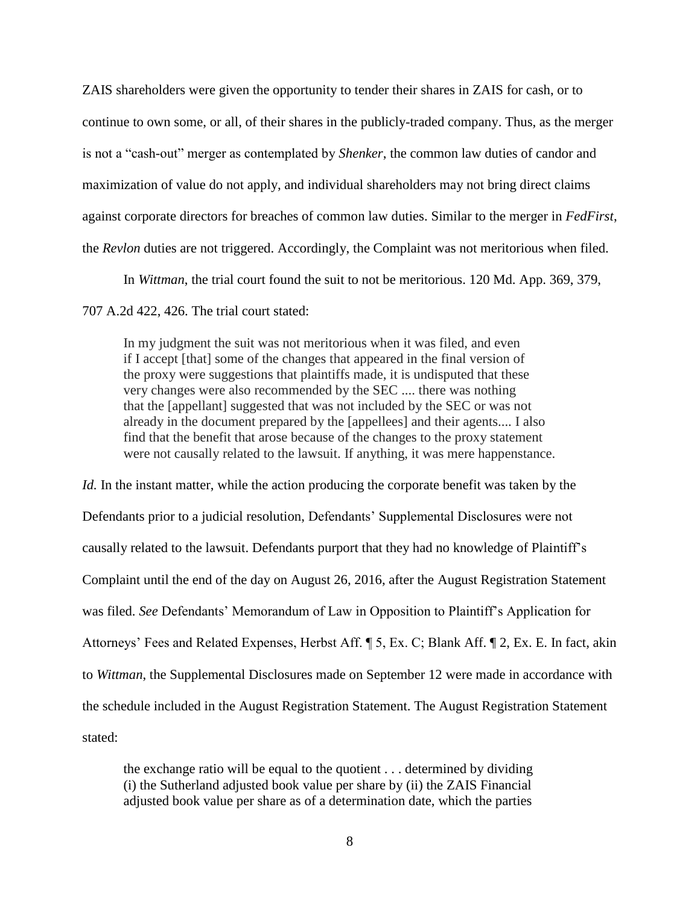ZAIS shareholders were given the opportunity to tender their shares in ZAIS for cash, or to continue to own some, or all, of their shares in the publicly-traded company. Thus, as the merger is not a "cash-out" merger as contemplated by *Shenker*, the common law duties of candor and maximization of value do not apply, and individual shareholders may not bring direct claims against corporate directors for breaches of common law duties. Similar to the merger in *FedFirst*, the *Revlon* duties are not triggered. Accordingly, the Complaint was not meritorious when filed.

In *Wittman*, the trial court found the suit to not be meritorious. 120 Md. App. 369, 379,

707 A.2d 422, 426. The trial court stated:

In my judgment the suit was not meritorious when it was filed, and even if I accept [that] some of the changes that appeared in the final version of the proxy were suggestions that plaintiffs made, it is undisputed that these very changes were also recommended by the SEC .... there was nothing that the [appellant] suggested that was not included by the SEC or was not already in the document prepared by the [appellees] and their agents.... I also find that the benefit that arose because of the changes to the proxy statement were not causally related to the lawsuit. If anything, it was mere happenstance.

*Id.* In the instant matter, while the action producing the corporate benefit was taken by the Defendants prior to a judicial resolution, Defendants' Supplemental Disclosures were not causally related to the lawsuit. Defendants purport that they had no knowledge of Plaintiff's Complaint until the end of the day on August 26, 2016, after the August Registration Statement was filed. *See* Defendants' Memorandum of Law in Opposition to Plaintiff's Application for Attorneys' Fees and Related Expenses, Herbst Aff. ¶ 5, Ex. C; Blank Aff. ¶ 2, Ex. E. In fact, akin to *Wittman*, the Supplemental Disclosures made on September 12 were made in accordance with the schedule included in the August Registration Statement. The August Registration Statement stated:

the exchange ratio will be equal to the quotient . . . determined by dividing (i) the Sutherland adjusted book value per share by (ii) the ZAIS Financial adjusted book value per share as of a determination date, which the parties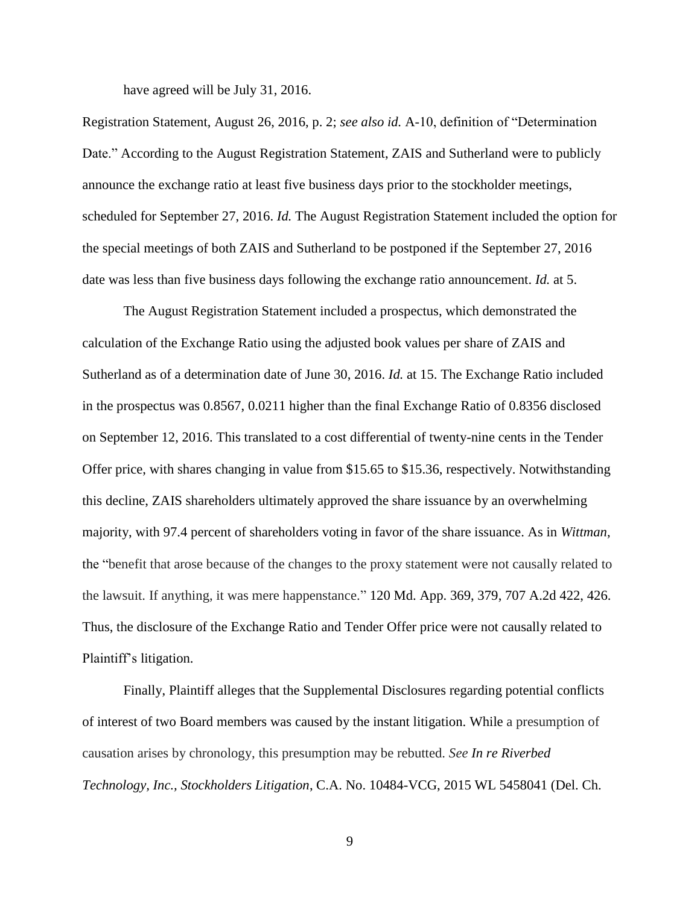have agreed will be July 31, 2016.

Registration Statement, August 26, 2016, p. 2; *see also id.* A-10, definition of "Determination Date." According to the August Registration Statement, ZAIS and Sutherland were to publicly announce the exchange ratio at least five business days prior to the stockholder meetings, scheduled for September 27, 2016. *Id.* The August Registration Statement included the option for the special meetings of both ZAIS and Sutherland to be postponed if the September 27, 2016 date was less than five business days following the exchange ratio announcement. *Id.* at 5.

The August Registration Statement included a prospectus, which demonstrated the calculation of the Exchange Ratio using the adjusted book values per share of ZAIS and Sutherland as of a determination date of June 30, 2016. *Id.* at 15. The Exchange Ratio included in the prospectus was 0.8567, 0.0211 higher than the final Exchange Ratio of 0.8356 disclosed on September 12, 2016. This translated to a cost differential of twenty-nine cents in the Tender Offer price, with shares changing in value from \$15.65 to \$15.36, respectively. Notwithstanding this decline, ZAIS shareholders ultimately approved the share issuance by an overwhelming majority, with 97.4 percent of shareholders voting in favor of the share issuance. As in *Wittman*, the "benefit that arose because of the changes to the proxy statement were not causally related to the lawsuit. If anything, it was mere happenstance." 120 Md. App. 369, 379, 707 A.2d 422, 426. Thus, the disclosure of the Exchange Ratio and Tender Offer price were not causally related to Plaintiff's litigation.

Finally, Plaintiff alleges that the Supplemental Disclosures regarding potential conflicts of interest of two Board members was caused by the instant litigation. While a presumption of causation arises by chronology, this presumption may be rebutted. *See In re Riverbed Technology, Inc., Stockholders Litigation*, C.A. No. 10484-VCG, 2015 WL 5458041 (Del. Ch.

9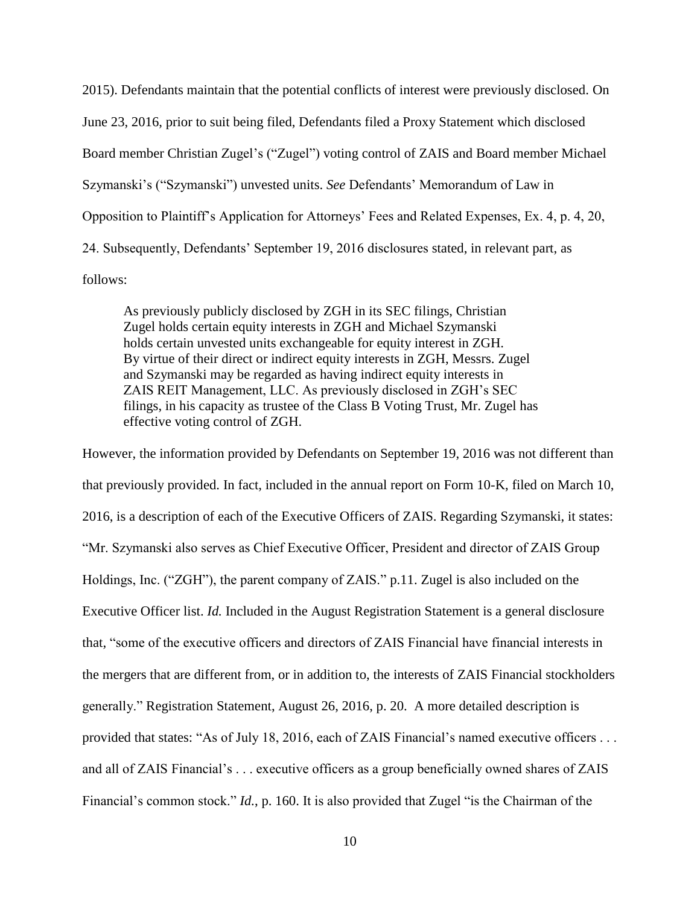2015). Defendants maintain that the potential conflicts of interest were previously disclosed. On June 23, 2016, prior to suit being filed, Defendants filed a Proxy Statement which disclosed Board member Christian Zugel's ("Zugel") voting control of ZAIS and Board member Michael Szymanski's ("Szymanski") unvested units. *See* Defendants' Memorandum of Law in Opposition to Plaintiff's Application for Attorneys' Fees and Related Expenses, Ex. 4, p. 4, 20, 24. Subsequently, Defendants' September 19, 2016 disclosures stated, in relevant part, as follows:

As previously publicly disclosed by ZGH in its SEC filings, Christian Zugel holds certain equity interests in ZGH and Michael Szymanski holds certain unvested units exchangeable for equity interest in ZGH. By virtue of their direct or indirect equity interests in ZGH, Messrs. Zugel and Szymanski may be regarded as having indirect equity interests in ZAIS REIT Management, LLC. As previously disclosed in ZGH's SEC filings, in his capacity as trustee of the Class B Voting Trust, Mr. Zugel has effective voting control of ZGH.

However, the information provided by Defendants on September 19, 2016 was not different than that previously provided. In fact, included in the annual report on Form 10-K, filed on March 10, 2016, is a description of each of the Executive Officers of ZAIS. Regarding Szymanski, it states: "Mr. Szymanski also serves as Chief Executive Officer, President and director of ZAIS Group Holdings, Inc. ("ZGH"), the parent company of ZAIS." p.11. Zugel is also included on the Executive Officer list. *Id.* Included in the August Registration Statement is a general disclosure that, "some of the executive officers and directors of ZAIS Financial have financial interests in the mergers that are different from, or in addition to, the interests of ZAIS Financial stockholders generally." Registration Statement, August 26, 2016, p. 20. A more detailed description is provided that states: "As of July 18, 2016, each of ZAIS Financial's named executive officers . . . and all of ZAIS Financial's . . . executive officers as a group beneficially owned shares of ZAIS Financial's common stock." *Id.*, p. 160. It is also provided that Zugel "is the Chairman of the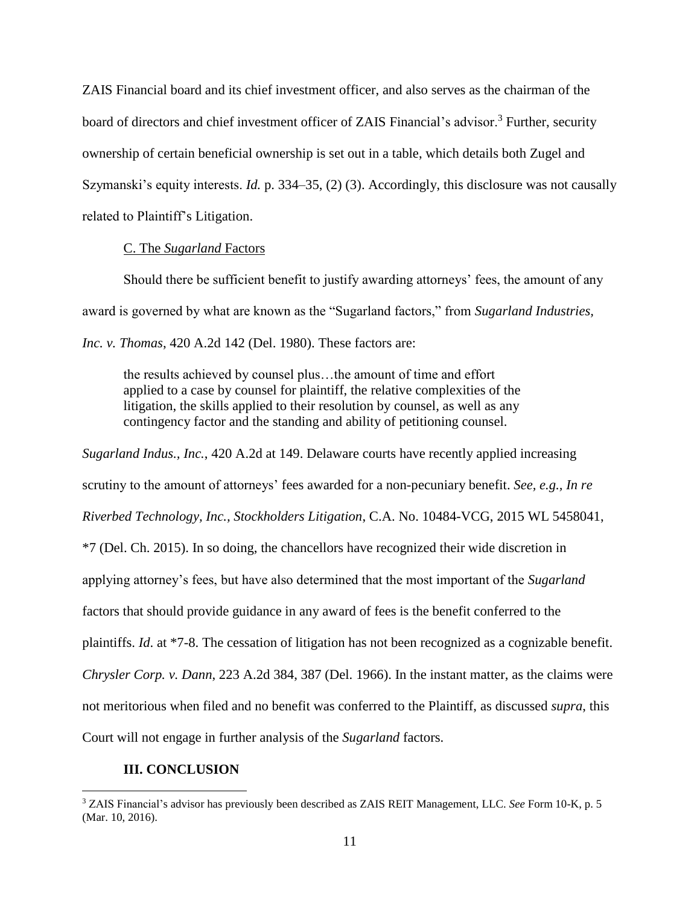ZAIS Financial board and its chief investment officer, and also serves as the chairman of the board of directors and chief investment officer of ZAIS Financial's advisor.<sup>3</sup> Further, security ownership of certain beneficial ownership is set out in a table, which details both Zugel and Szymanski's equity interests. *Id.* p. 334–35, (2) (3). Accordingly, this disclosure was not causally related to Plaintiff's Litigation.

### C. The *Sugarland* Factors

Should there be sufficient benefit to justify awarding attorneys' fees, the amount of any award is governed by what are known as the "Sugarland factors," from *Sugarland Industries, Inc. v. Thomas*, 420 A.2d 142 (Del. 1980). These factors are:

the results achieved by counsel plus…the amount of time and effort applied to a case by counsel for plaintiff, the relative complexities of the litigation, the skills applied to their resolution by counsel, as well as any contingency factor and the standing and ability of petitioning counsel.

*Sugarland Indus., Inc.*, 420 A.2d at 149. Delaware courts have recently applied increasing scrutiny to the amount of attorneys' fees awarded for a non-pecuniary benefit. *See, e.g., In re Riverbed Technology, Inc., Stockholders Litigation*, C.A. No. 10484-VCG, 2015 WL 5458041, \*7 (Del. Ch. 2015). In so doing, the chancellors have recognized their wide discretion in applying attorney's fees, but have also determined that the most important of the *Sugarland* factors that should provide guidance in any award of fees is the benefit conferred to the plaintiffs. *Id*. at \*7-8. The cessation of litigation has not been recognized as a cognizable benefit. *Chrysler Corp. v. Dann*, 223 A.2d 384, 387 (Del. 1966). In the instant matter, as the claims were not meritorious when filed and no benefit was conferred to the Plaintiff, as discussed *supra*, this Court will not engage in further analysis of the *Sugarland* factors.

# **III. CONCLUSION**

 $\overline{a}$ 

<sup>3</sup> ZAIS Financial's advisor has previously been described as ZAIS REIT Management, LLC. *See* Form 10-K, p. 5 (Mar. 10, 2016).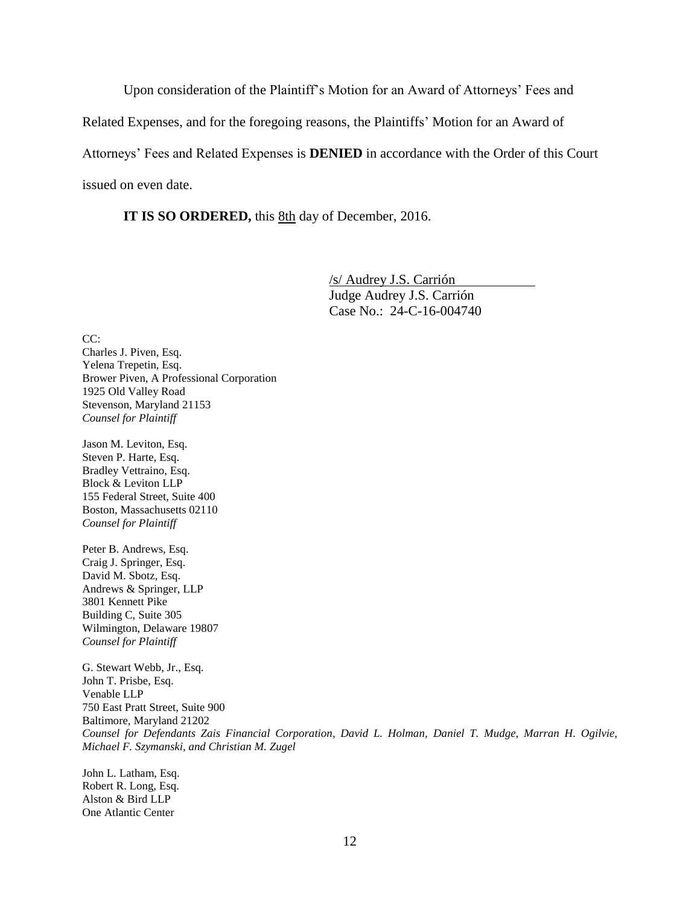Upon consideration of the Plaintiff's Motion for an Award of Attorneys' Fees and

Related Expenses, and for the foregoing reasons, the Plaintiffs' Motion for an Award of

Attorneys' Fees and Related Expenses is **DENIED** in accordance with the Order of this Court

issued on even date.

**IT IS SO ORDERED,** this  $8th$  day of December, 2016.

/s/ Audrey J.S. Carrión Judge Audrey J.S. Carrión Case No.: 24-C-16-004740

CC: Charles J. Piven, Esq. Yelena Trepetin, Esq. Brower Piven, A Professional Corporation 1925 Old Valley Road Stevenson, Maryland 21153 *Counsel for Plaintiff*

Jason M. Leviton, Esq. Steven P. Harte, Esq. Bradley Vettraino, Esq. Block & Leviton LLP 155 Federal Street, Suite 400 Boston, Massachusetts 02110 *Counsel for Plaintiff*

Peter B. Andrews, Esq. Craig J. Springer, Esq. David M. Sbotz, Esq. Andrews & Springer, LLP 3801 Kennett Pike Building C, Suite 305 Wilmington, Delaware 19807 *Counsel for Plaintiff*

G. Stewart Webb, Jr., Esq. John T. Prisbe, Esq. Venable LLP 750 East Pratt Street, Suite 900 Baltimore, Maryland 21202 *Counsel for Defendants Zais Financial Corporation, David L. Holman, Daniel T. Mudge, Marran H. Ogilvie, Michael F. Szymanski, and Christian M. Zugel*

John L. Latham, Esq. Robert R. Long, Esq. Alston & Bird LLP One Atlantic Center